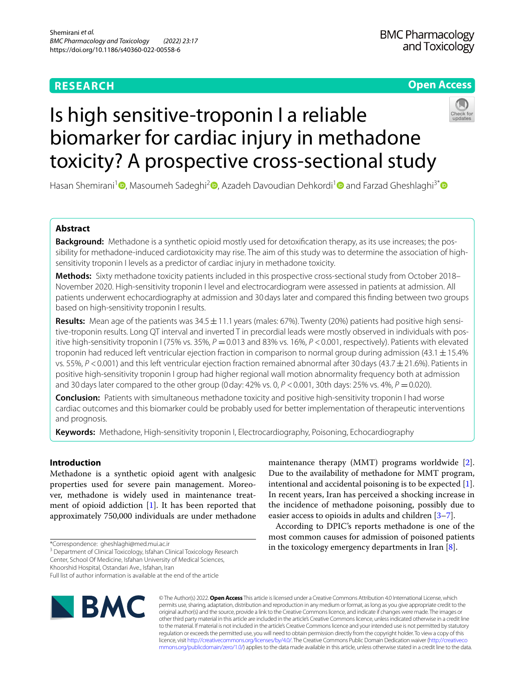# **RESEARCH**

## **Open Access**



# Is high sensitive-troponin I a reliable biomarker for cardiac injury in methadone toxicity? A prospective cross-sectional study

Hasan Shemirani<sup>[1](https://orcid.org/0000-0002-6822-3863)</sup> **D**[,](https://orcid.org/0000-0002-8977-6360) Masoumeh Sadeghi<sup>2</sup> D[,](https://orcid.org/0000-0001-7179-5558) Azadeh Davoudian Dehkordi<sup>1</sup> D and Farzad Gheshlaghi<sup>3[\\*](https://orcid.org/0000-0002-8972-7366)</sup> D

## **Abstract**

**Background:** Methadone is a synthetic opioid mostly used for detoxifcation therapy, as its use increases; the possibility for methadone-induced cardiotoxicity may rise. The aim of this study was to determine the association of highsensitivity troponin I levels as a predictor of cardiac injury in methadone toxicity.

**Methods:** Sixty methadone toxicity patients included in this prospective cross-sectional study from October 2018– November 2020. High-sensitivity troponin I level and electrocardiogram were assessed in patients at admission. All patients underwent echocardiography at admission and 30days later and compared this fnding between two groups based on high-sensitivity troponin I results.

**Results:** Mean age of the patients was  $34.5 \pm 11.1$  years (males: 67%). Twenty (20%) patients had positive high sensitive-troponin results. Long QT interval and inverted T in precordial leads were mostly observed in individuals with positive high-sensitivity troponin I (75% vs. 35%,  $P = 0.013$  and 83% vs. 16%,  $P < 0.001$ , respectively). Patients with elevated troponin had reduced left ventricular ejection fraction in comparison to normal group during admission (43.1 $\pm$ 15.4% vs. 55%,  $P < 0.001$ ) and this left ventricular ejection fraction remained abnormal after 30 days (43.7 ± 21.6%). Patients in positive high-sensitivity troponin I group had higher regional wall motion abnormality frequency both at admission and 30days later compared to the other group (0day: 42% vs. 0, *P* <0.001, 30th days: 25% vs. 4%, *P* =0.020).

**Conclusion:** Patients with simultaneous methadone toxicity and positive high-sensitivity troponin I had worse cardiac outcomes and this biomarker could be probably used for better implementation of therapeutic interventions and prognosis.

**Keywords:** Methadone, High-sensitivity troponin I, Electrocardiography, Poisoning, Echocardiography

## **Introduction**

Methadone is a synthetic opioid agent with analgesic properties used for severe pain management. Moreover, methadone is widely used in maintenance treatment of opioid addiction [\[1](#page-5-0)]. It has been reported that approximately 750,000 individuals are under methadone

\*Correspondence: gheshlaghi@med.mui.ac.ir

<sup>3</sup> Department of Clinical Toxicology, Isfahan Clinical Toxicology Research Center, School Of Medicine, Isfahan University of Medical Sciences,

Khoorshid Hospital, Ostandari Ave., Isfahan, Iran

Full list of author information is available at the end of the article



maintenance therapy (MMT) programs worldwide [\[2](#page-5-1)]. Due to the availability of methadone for MMT program, intentional and accidental poisoning is to be expected [\[1](#page-5-0)]. In recent years, Iran has perceived a shocking increase in the incidence of methadone poisoning, possibly due to easier access to opioids in adults and children [[3](#page-5-2)[–7](#page-6-0)].

According to DPIC's reports methadone is one of the most common causes for admission of poisoned patients in the toxicology emergency departments in Iran [[8\]](#page-6-1).

© The Author(s) 2022. **Open Access** This article is licensed under a Creative Commons Attribution 4.0 International License, which permits use, sharing, adaptation, distribution and reproduction in any medium or format, as long as you give appropriate credit to the original author(s) and the source, provide a link to the Creative Commons licence, and indicate if changes were made. The images or other third party material in this article are included in the article's Creative Commons licence, unless indicated otherwise in a credit line to the material. If material is not included in the article's Creative Commons licence and your intended use is not permitted by statutory regulation or exceeds the permitted use, you will need to obtain permission directly from the copyright holder. To view a copy of this licence, visit [http://creativecommons.org/licenses/by/4.0/.](http://creativecommons.org/licenses/by/4.0/) The Creative Commons Public Domain Dedication waiver ([http://creativeco](http://creativecommons.org/publicdomain/zero/1.0/) [mmons.org/publicdomain/zero/1.0/](http://creativecommons.org/publicdomain/zero/1.0/)) applies to the data made available in this article, unless otherwise stated in a credit line to the data.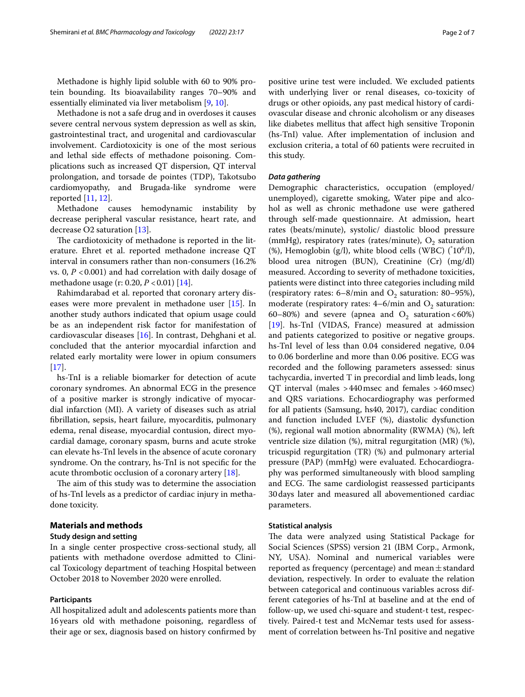Methadone is highly lipid soluble with 60 to 90% protein bounding. Its bioavailability ranges 70–90% and essentially eliminated via liver metabolism [[9](#page-6-2), [10\]](#page-6-3).

Methadone is not a safe drug and in overdoses it causes severe central nervous system depression as well as skin, gastrointestinal tract, and urogenital and cardiovascular involvement. Cardiotoxicity is one of the most serious and lethal side efects of methadone poisoning. Complications such as increased QT dispersion, QT interval prolongation, and torsade de pointes (TDP), Takotsubo cardiomyopathy, and Brugada-like syndrome were reported  $[11, 12]$  $[11, 12]$  $[11, 12]$  $[11, 12]$ .

Methadone causes hemodynamic instability by decrease peripheral vascular resistance, heart rate, and decrease O2 saturation [\[13](#page-6-6)].

The cardiotoxicity of methadone is reported in the literature. Ehret et al. reported methadone increase QT interval in consumers rather than non-consumers (16.2% vs. 0, *P* <0.001) and had correlation with daily dosage of methadone usage (r: 0.20, *P* < 0.01) [[14](#page-6-7)].

Rahimdarabad et al. reported that coronary artery diseases were more prevalent in methadone user [\[15](#page-6-8)]. In another study authors indicated that opium usage could be as an independent risk factor for manifestation of cardiovascular diseases [[16](#page-6-9)]. In contrast, Dehghani et al. concluded that the anterior myocardial infarction and related early mortality were lower in opium consumers  $[17]$  $[17]$ .

hs-TnI is a reliable biomarker for detection of acute coronary syndromes. An abnormal ECG in the presence of a positive marker is strongly indicative of myocardial infarction (MI). A variety of diseases such as atrial fbrillation, sepsis, heart failure, myocarditis, pulmonary edema, renal disease, myocardial contusion, direct myocardial damage, coronary spasm, burns and acute stroke can elevate hs-TnI levels in the absence of acute coronary syndrome. On the contrary, hs-TnI is not specifc for the acute thrombotic occlusion of a coronary artery [\[18](#page-6-11)].

The aim of this study was to determine the association of hs-TnI levels as a predictor of cardiac injury in methadone toxicity.

## **Materials and methods**

#### **Study design and setting**

In a single center prospective cross-sectional study, all patients with methadone overdose admitted to Clinical Toxicology department of teaching Hospital between October 2018 to November 2020 were enrolled.

## **Participants**

All hospitalized adult and adolescents patients more than 16years old with methadone poisoning, regardless of their age or sex, diagnosis based on history confrmed by positive urine test were included. We excluded patients with underlying liver or renal diseases, co-toxicity of drugs or other opioids, any past medical history of cardiovascular disease and chronic alcoholism or any diseases like diabetes mellitus that afect high sensitive Troponin (hs-TnI) value. After implementation of inclusion and exclusion criteria, a total of 60 patients were recruited in this study.

### *Data gathering*

Demographic characteristics, occupation (employed/ unemployed), cigarette smoking, Water pipe and alcohol as well as chronic methadone use were gathered through self-made questionnaire. At admission, heart rates (beats/minute), systolic/ diastolic blood pressure (mmHg), respiratory rates (rates/minute),  $O_2$  saturation (%), Hemoglobin (g/l), white blood cells (WBC)  $({\rm ^{\dagger}10^6/l}),$ blood urea nitrogen (BUN), Creatinine (Cr) (mg/dl) measured. According to severity of methadone toxicities, patients were distinct into three categories including mild (respiratory rates:  $6-8$ /min and  $O_2$  saturation:  $80-95$ %), moderate (respiratory rates:  $4-6$ /min and  $O<sub>2</sub>$  saturation: 60–80%) and severe (apnea and  $O_2$  saturation <60%) [[19\]](#page-6-12). hs-TnI (VIDAS, France) measured at admission and patients categorized to positive or negative groups. hs-TnI level of less than 0.04 considered negative, 0.04 to 0.06 borderline and more than 0.06 positive. ECG was recorded and the following parameters assessed: sinus tachycardia, inverted T in precordial and limb leads, long QT interval (males >440msec and females >460msec) and QRS variations. Echocardiography was performed for all patients (Samsung, hs40, 2017), cardiac condition and function included LVEF (%), diastolic dysfunction (%), regional wall motion abnormality (RWMA) (%), left ventricle size dilation (%), mitral regurgitation (MR) (%), tricuspid regurgitation (TR) (%) and pulmonary arterial pressure (PAP) (mmHg) were evaluated. Echocardiography was performed simultaneously with blood sampling and ECG. The same cardiologist reassessed participants 30days later and measured all abovementioned cardiac parameters.

#### **Statistical analysis**

The data were analyzed using Statistical Package for Social Sciences (SPSS) version 21 (IBM Corp., Armonk, NY, USA). Nominal and numerical variables were reported as frequency (percentage) and mean $\pm$ standard deviation, respectively. In order to evaluate the relation between categorical and continuous variables across different categories of hs-TnI at baseline and at the end of follow-up, we used chi-square and student-t test, respectively. Paired-t test and McNemar tests used for assessment of correlation between hs-TnI positive and negative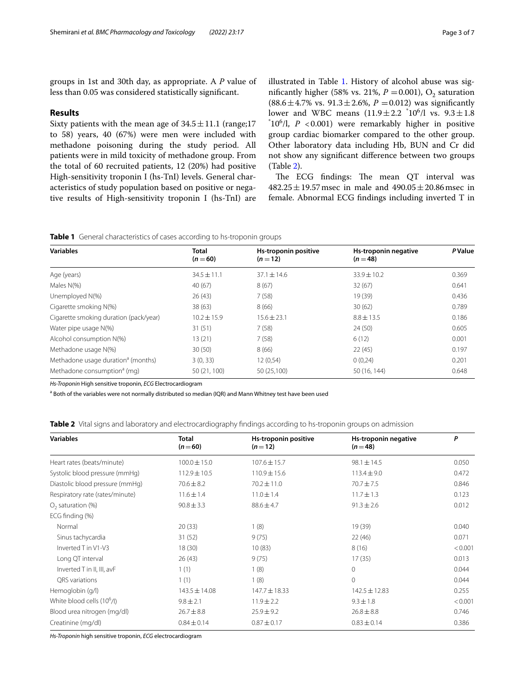groups in 1st and 30th day, as appropriate. A *P* value of less than 0.05 was considered statistically signifcant.

#### **Results**

Sixty patients with the mean age of  $34.5 \pm 11.1$  (range;17 to 58) years, 40 (67%) were men were included with methadone poisoning during the study period. All patients were in mild toxicity of methadone group. From the total of 60 recruited patients, 12 (20%) had positive High-sensitivity troponin I (hs-TnI) levels. General characteristics of study population based on positive or negative results of High-sensitivity troponin I (hs-TnI) are illustrated in Table [1](#page-2-0). History of alcohol abuse was significantly higher (58% vs. 21%,  $P = 0.001$ ),  $O_2$  saturation (88.6±4.7% vs.  $91.3 \pm 2.6$ %,  $P = 0.012$ ) was significantly lower and WBC means  $(11.9 \pm 2.2 \text{ } ^*10^6)$ l vs.  $9.3 \pm 1.8$ <br> $(10^6)$   $P \ge 0.001$  were remarkably higher in positive 106 /l, *P* <0.001) were remarkably higher in positive group cardiac biomarker compared to the other group. Other laboratory data including Hb, BUN and Cr did not show any signifcant diference between two groups (Table [2\)](#page-2-1).

The ECG findings: The mean QT interval was  $482.25 \pm 19.57$  msec in male and  $490.05 \pm 20.86$  msec in female. Abnormal ECG fndings including inverted T in

<span id="page-2-0"></span>

|  | Table 1 General characteristics of cases according to hs-troponin groups |  |  |  |
|--|--------------------------------------------------------------------------|--|--|--|
|  |                                                                          |  |  |  |

| <b>Variables</b>                               | <b>Total</b><br>$(n = 60)$ | Hs-troponin positive<br>$(n=12)$ | Hs-troponin negative<br>$(n=48)$ | <b>P</b> Value |  |
|------------------------------------------------|----------------------------|----------------------------------|----------------------------------|----------------|--|
| Age (years)                                    | $34.5 \pm 11.1$            | $37.1 \pm 14.6$                  | $33.9 + 10.2$                    | 0.369          |  |
| Males N(%)                                     | 40(67)                     | 8(67)                            | 32(67)                           | 0.641          |  |
| Unemployed N(%)                                | 26(43)                     | 7(58)                            | 19 (39)                          | 0.436          |  |
| Cigarette smoking N(%)                         | 38(63)                     | 8(66)                            | 30(62)                           | 0.789          |  |
| Cigarette smoking duration (pack/year)         | $10.2 + 15.9$              | $15.6 + 23.1$                    | $8.8 \pm 13.5$                   | 0.186          |  |
| Water pipe usage N(%)                          | 31(51)                     | 7(58)                            | 24(50)                           | 0.605          |  |
| Alcohol consumption N(%)                       | 13(21)                     | 7(58)                            | 6(12)                            | 0.001          |  |
| Methadone usage N(%)                           | 30(50)                     | 8(66)                            | 22(45)                           | 0.197          |  |
| Methadone usage duration <sup>a</sup> (months) | 3(0, 33)                   | 12 (0,54)                        | 0(0,24)                          | 0.201          |  |
| Methadone consumption <sup>a</sup> (mg)        | 50 (21, 100)               | 50 (25,100)                      | 50 (16, 144)                     | 0.648          |  |

*Hs-Troponin* High sensitive troponin, *ECG* Electrocardiogram

<sup>a</sup> Both of the variables were not normally distributed so median (IQR) and Mann Whitney test have been used

<span id="page-2-1"></span>

| <b>Table 2</b> Vital signs and laboratory and electrocardiography findings according to hs-troponin groups on admission |  |  |  |  |
|-------------------------------------------------------------------------------------------------------------------------|--|--|--|--|
|                                                                                                                         |  |  |  |  |

| <b>Variables</b>                       | Total<br>$(n=60)$ | Hs-troponin positive<br>$(n=12)$ | Hs-troponin negative<br>$(n=48)$ | P       |
|----------------------------------------|-------------------|----------------------------------|----------------------------------|---------|
| Heart rates (beats/minute)             | $100.0 \pm 15.0$  | $107.6 \pm 15.7$                 | $98.1 \pm 14.5$                  | 0.050   |
| Systolic blood pressure (mmHq)         | $112.9 \pm 10.5$  | $110.9 \pm 15.6$                 | $113.4 \pm 9.0$                  | 0.472   |
| Diastolic blood pressure (mmHg)        | $70.6 \pm 8.2$    | $70.2 \pm 11.0$                  | 70.7±7.5                         | 0.846   |
| Respiratory rate (rates/minute)        | $11.6 \pm 1.4$    | $11.0 \pm 1.4$                   | $11.7 \pm 1.3$                   | 0.123   |
| $O2$ saturation (%)                    | $90.8 \pm 3.3$    | $88.6 \pm 4.7$                   | $91.3 \pm 2.6$                   | 0.012   |
| ECG finding (%)                        |                   |                                  |                                  |         |
| Normal                                 | 20(33)            | 1(8)                             | 19 (39)                          | 0.040   |
| Sinus tachycardia                      | 31(52)            | 9(75)                            | 22(46)                           | 0.071   |
| Inverted T in V1-V3                    | 18(30)            | 10(83)                           | 8(16)                            | < 0.001 |
| Long QT interval                       | 26(43)            | 9(75)                            | 17(35)                           | 0.013   |
| Inverted T in II, III, avF             | 1(1)              | 1(8)                             | $\mathbf{0}$                     | 0.044   |
| ORS variations                         | 1(1)              | 1(8)                             | $\mathbf{0}$                     | 0.044   |
| Hemoglobin (g/l)                       | $143.5 \pm 14.08$ | $147.7 \pm 18.33$                | $142.5 \pm 12.83$                | 0.255   |
| White blood cells (10 <sup>6</sup> /l) | $9.8 \pm 2.1$     | $11.9 \pm 2.2$                   | $9.3 \pm 1.8$                    | < 0.001 |
| Blood urea nitrogen (mg/dl)            | $26.7 \pm 8.8$    | $25.9 \pm 9.2$                   | $26.8 \pm 8.8$                   | 0.746   |
| Creatinine (mg/dl)                     | $0.84 \pm 0.14$   | $0.87 \pm 0.17$                  | $0.83 \pm 0.14$                  | 0.386   |

*Hs-Troponin* high sensitive troponin, *ECG* electrocardiogram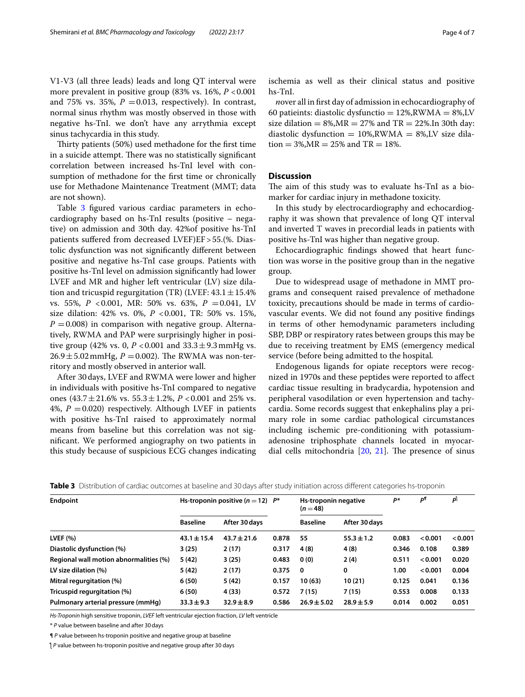V1-V3 (all three leads) leads and long QT interval were more prevalent in positive group (83% vs. 16%,  $P < 0.001$ and 75% vs. 35%,  $P = 0.013$ , respectively). In contrast, normal sinus rhythm was mostly observed in those with negative hs-TnI. we don't have any arrythmia except sinus tachycardia in this study.

Thirty patients (50%) used methadone for the first time in a suicide attempt. There was no statistically significant correlation between increased hs-TnI level with consumption of methadone for the frst time or chronically use for Methadone Maintenance Treatment (MMT; data are not shown).

Table [3](#page-3-0) figured various cardiac parameters in echocardiography based on hs-TnI results (positive – negative) on admission and 30th day. 42%of positive hs-TnI patients suffered from decreased LVEF)EF > 55.(%. Diastolic dysfunction was not signifcantly diferent between positive and negative hs-TnI case groups. Patients with positive hs-TnI level on admission signifcantly had lower LVEF and MR and higher left ventricular (LV) size dilation and tricuspid regurgitation (TR) (LVEF:  $43.1 \pm 15.4\%$ vs. 55%, *P* <0.001, MR: 50% vs. 63%, *P* =0.041, LV size dilation: 42% vs. 0%, *P* <0.001, TR: 50% vs. 15%,  $P = 0.008$ ) in comparison with negative group. Alternatively, RWMA and PAP were surprisingly higher in positive group (42% vs. 0,  $P < 0.001$  and  $33.3 \pm 9.3$  mmHg vs.  $26.9 \pm 5.02$  mmHg,  $P = 0.002$ ). The RWMA was non-territory and mostly observed in anterior wall.

After 30days, LVEF and RWMA were lower and higher in individuals with positive hs-TnI compared to negative ones (43.7 $\pm$ 21.6% vs. 55.3 $\pm$ 1.2%, *P* <0.001 and 25% vs. 4%,  $P = 0.020$ ) respectively. Although LVEF in patients with positive hs-TnI raised to approximately normal means from baseline but this correlation was not signifcant. We performed angiography on two patients in this study because of suspicious ECG changes indicating ischemia as well as their clinical status and positive hs-TnI.

*n*over all in frst day of admission in echocardiography of 60 patieints: diastolic dysfunctio  $= 12\%, RWMA = 8\%, LV$ size dilation =  $8\%, MR = 27\%$  and TR =  $22\%.$  In 30th day: diastolic dysfunction =  $10\%, RWMA = 8\%, LV$  size dilation =  $3\%, MR = 25\%$  and TR =  $18\%$ .

## **Discussion**

The aim of this study was to evaluate hs-TnI as a biomarker for cardiac injury in methadone toxicity.

In this study by electrocardiography and echocardiography it was shown that prevalence of long QT interval and inverted T waves in precordial leads in patients with positive hs-TnI was higher than negative group.

Echocardiographic fndings showed that heart function was worse in the positive group than in the negative group.

Due to widespread usage of methadone in MMT programs and consequent raised prevalence of methadone toxicity, precautions should be made in terms of cardiovascular events. We did not found any positive fndings in terms of other hemodynamic parameters including SBP, DBP or respiratory rates between groups this may be due to receiving treatment by EMS (emergency medical service (before being admitted to the hospital*.*

Endogenous ligands for opiate receptors were recognized in 1970s and these peptides were reported to afect cardiac tissue resulting in bradycardia, hypotension and peripheral vasodilation or even hypertension and tachycardia. Some records suggest that enkephalins play a primary role in some cardiac pathological circumstances including ischemic pre-conditioning with potassiumadenosine triphosphate channels located in myocardial cells mitochondria  $[20, 21]$  $[20, 21]$  $[20, 21]$ . The presence of sinus

<span id="page-3-0"></span>

|  |  | <b>Table 3</b> Distribution of cardiac outcomes at baseline and 30 days after study initiation across different categories hs-troponin |  |  |  |  |  |
|--|--|----------------------------------------------------------------------------------------------------------------------------------------|--|--|--|--|--|
|--|--|----------------------------------------------------------------------------------------------------------------------------------------|--|--|--|--|--|

| <b>Endpoint</b>                        | Hs-troponin positive $(n=12)$ $P^*$ |                 |       | Hs-troponin negative<br>$(n=48)$ |                | P*    | ۵ſ      | pl      |
|----------------------------------------|-------------------------------------|-----------------|-------|----------------------------------|----------------|-------|---------|---------|
|                                        | <b>Baseline</b>                     | After 30 days   |       | <b>Baseline</b>                  | After 30 days  |       |         |         |
| LVEF $(\% )$                           | $43.1 \pm 15.4$                     | $43.7 \pm 21.6$ | 0.878 | 55                               | $55.3 \pm 1.2$ | 0.083 | < 0.001 | < 0.001 |
| Diastolic dysfunction (%)              | 3(25)                               | 2(17)           | 0.317 | 4(8)                             | 4(8)           | 0.346 | 0.108   | 0.389   |
| Regional wall motion abnormalities (%) | 5(42)                               | 3(25)           | 0.483 | 0(0)                             | 2(4)           | 0.511 | < 0.001 | 0.020   |
| LV size dilation (%)                   | 5 (42)                              | 2(17)           | 0.375 | 0                                | 0              | 1.00  | < 0.001 | 0.004   |
| Mitral regurgitation (%)               | 6(50)                               | 5 (42)          | 0.157 | 10(63)                           | 10(21)         | 0.125 | 0.041   | 0.136   |
| Tricuspid regurgitation (%)            | 6(50)                               | 4 (33)          | 0.572 | 7(15)                            | 7(15)          | 0.553 | 0.008   | 0.133   |
| Pulmonary arterial pressure (mmHq)     | $33.3 \pm 9.3$                      | $32.9 \pm 8.9$  | 0.586 | $26.9 \pm 5.02$                  | $28.9 \pm 5.9$ | 0.014 | 0.002   | 0.051   |

*Hs-Troponin* high sensitive troponin, *LVEF* left ventricular ejection fraction, *LV* left ventricle

\* *P* value between baseline and after 30days

¶ *P* value between hs-troponin positive and negative group at baseline

ƪ *P* value between hs-troponin positive and negative group after 30 days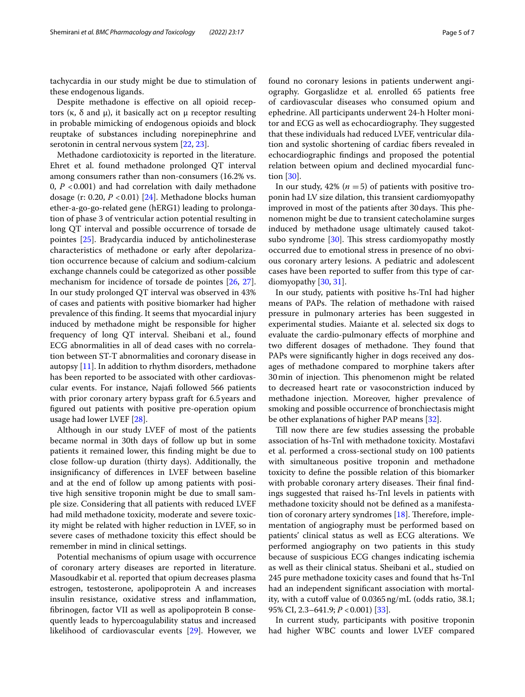tachycardia in our study might be due to stimulation of these endogenous ligands.

Despite methadone is efective on all opioid receptors (κ, δ and μ), it basically act on μ receptor resulting in probable mimicking of endogenous opioids and block reuptake of substances including norepinephrine and serotonin in central nervous system [[22,](#page-6-15) [23\]](#page-6-16).

Methadone cardiotoxicity is reported in the literature. Ehret et al. found methadone prolonged QT interval among consumers rather than non-consumers (16.2% vs. 0, *P* <0.001) and had correlation with daily methadone dosage (r: 0.20, *P* <0.01) [\[24\]](#page-6-17). Methadone blocks human ether-a-go-go-related gene (hERG1) leading to prolongation of phase 3 of ventricular action potential resulting in long QT interval and possible occurrence of torsade de pointes [[25\]](#page-6-18). Bradycardia induced by anticholinesterase characteristics of methadone or early after depolarization occurrence because of calcium and sodium-calcium exchange channels could be categorized as other possible mechanism for incidence of torsade de pointes [[26,](#page-6-19) [27](#page-6-20)]. In our study prolonged QT interval was observed in 43% of cases and patients with positive biomarker had higher prevalence of this fnding. It seems that myocardial injury induced by methadone might be responsible for higher frequency of long QT interval. Sheibani et al., found ECG abnormalities in all of dead cases with no correlation between ST-T abnormalities and coronary disease in autopsy [[11\]](#page-6-4). In addition to rhythm disorders, methadone has been reported to be associated with other cardiovascular events. For instance, Najaf followed 566 patients with prior coronary artery bypass graft for 6.5years and fgured out patients with positive pre-operation opium usage had lower LVEF [\[28](#page-6-21)].

Although in our study LVEF of most of the patients became normal in 30th days of follow up but in some patients it remained lower, this fnding might be due to close follow-up duration (thirty days). Additionally, the insignifcancy of diferences in LVEF between baseline and at the end of follow up among patients with positive high sensitive troponin might be due to small sample size. Considering that all patients with reduced LVEF had mild methadone toxicity, moderate and severe toxicity might be related with higher reduction in LVEF, so in severe cases of methadone toxicity this efect should be remember in mind in clinical settings.

Potential mechanisms of opium usage with occurrence of coronary artery diseases are reported in literature. Masoudkabir et al. reported that opium decreases plasma estrogen, testosterone, apolipoprotein A and increases insulin resistance, oxidative stress and infammation, fbrinogen, factor VII as well as apolipoprotein B consequently leads to hypercoagulability status and increased likelihood of cardiovascular events [\[29\]](#page-6-22). However, we found no coronary lesions in patients underwent angiography. Gorgaslidze et al. enrolled 65 patients free of cardiovascular diseases who consumed opium and ephedrine. All participants underwent 24-h Holter monitor and ECG as well as echocardiography. They suggested that these individuals had reduced LVEF, ventricular dilation and systolic shortening of cardiac fbers revealed in echocardiographic fndings and proposed the potential relation between opium and declined myocardial function [[30\]](#page-6-23).

In our study,  $42\%$  ( $n = 5$ ) of patients with positive troponin had LV size dilation, this transient cardiomyopathy improved in most of the patients after 30 days. This phenomenon might be due to transient catecholamine surges induced by methadone usage ultimately caused takotsubo syndrome  $[30]$  $[30]$ . This stress cardiomyopathy mostly occurred due to emotional stress in presence of no obvious coronary artery lesions. A pediatric and adolescent cases have been reported to sufer from this type of cardiomyopathy [[30,](#page-6-23) [31\]](#page-6-24).

In our study, patients with positive hs-TnI had higher means of PAPs. The relation of methadone with raised pressure in pulmonary arteries has been suggested in experimental studies. Maiante et al. selected six dogs to evaluate the cardio-pulmonary efects of morphine and two different dosages of methadone. They found that PAPs were signifcantly higher in dogs received any dosages of methadone compared to morphine takers after 30 min of injection. This phenomenon might be related to decreased heart rate or vasoconstriction induced by methadone injection. Moreover, higher prevalence of smoking and possible occurrence of bronchiectasis might be other explanations of higher PAP means [[32\]](#page-6-25).

Till now there are few studies assessing the probable association of hs-TnI with methadone toxicity. Mostafavi et al. performed a cross-sectional study on 100 patients with simultaneous positive troponin and methadone toxicity to defne the possible relation of this biomarker with probable coronary artery diseases. Their final findings suggested that raised hs-TnI levels in patients with methadone toxicity should not be defned as a manifestation of coronary artery syndromes  $[18]$ . Therefore, implementation of angiography must be performed based on patients' clinical status as well as ECG alterations. We performed angiography on two patients in this study because of suspicious ECG changes indicating ischemia as well as their clinical status. Sheibani et al., studied on 245 pure methadone toxicity cases and found that hs-TnI had an independent signifcant association with mortality, with a cutoff value of 0.0365 ng/mL (odds ratio, 38.1; 95% CI, 2.3–641.9; *P* <0.001) [[33\]](#page-6-26).

In current study, participants with positive troponin had higher WBC counts and lower LVEF compared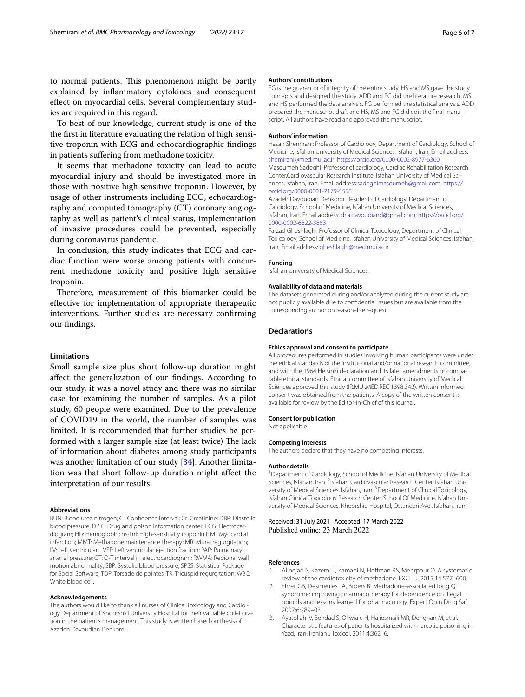to normal patients. This phenomenon might be partly explained by infammatory cytokines and consequent efect on myocardial cells. Several complementary studies are required in this regard.

To best of our knowledge, current study is one of the the frst in literature evaluating the relation of high sensitive troponin with ECG and echocardiographic fndings in patients sufering from methadone toxicity.

It seems that methadone toxicity can lead to acute myocardial injury and should be investigated more in those with positive high sensitive troponin. However, by usage of other instruments including ECG, echocardiography and computed tomography (CT) coronary angiography as well as patient's clinical status, implementation of invasive procedures could be prevented, especially during coronavirus pandemic.

In conclusion, this study indicates that ECG and cardiac function were worse among patients with concurrent methadone toxicity and positive high sensitive troponin.

Therefore, measurement of this biomarker could be efective for implementation of appropriate therapeutic interventions. Further studies are necessary confrming our fndings.

#### **Limitations**

Small sample size plus short follow-up duration might afect the generalization of our fndings. According to our study, it was a novel study and there was no similar case for examining the number of samples. As a pilot study, 60 people were examined. Due to the prevalence of COVID19 in the world, the number of samples was limited. It is recommended that further studies be performed with a larger sample size (at least twice) The lack of information about diabetes among study participants was another limitation of our study [\[34\]](#page-6-27). Another limitation was that short follow-up duration might afect the interpretation of our results.

#### **Abbreviations**

BUN: Blood urea nitrogen; CI: Confdence Interval; Cr: Creatinine; DBP: Diastolic blood pressure; DPIC: Drug and poison information center; ECG: Electrocardiogram; Hb: Hemoglobin; hs-TnI: High-sensitivity troponin I; MI: Myocardial infarction; MMT: Methadone maintenance therapy; MR: Mitral regurgitation; LV: Left ventricular; LVEF: Left ventricular ejection fraction; PAP: Pulmonary arterial pressure; QT: Q-T interval in electrocardiogram; RWMA: Regional wall motion abnormality; SBP: Systolic blood pressure; SPSS: Statistical Package for Social Software; TDP: Torsade de pointes; TR: Tricuspid regurgitation; WBC: White blood cell.

#### **Acknowledgements**

The authors would like to thank all nurses of Clinical Toxicology and Cardiology Department of Khoorshid University Hospital for their valuable collaboration in the patient's management. This study is written based on thesis of Azadeh Davoudian Dehkordi.

#### **Authors' contributions**

FG is the guarantor of integrity of the entire study. HS and MS gave the study concepts and designed the study. ADD and FG did the literature research. MS and HS performed the data analysis. FG performed the statistical analysis. ADD prepared the manuscript draft and HS, MS and FG did edit the fnal manuscript. All authors have read and approved the manuscript.

#### **Authors' information**

Hasan Shemirani: Professor of Cardiology, Department of Cardiology, School of Medicine, Isfahan University of Medical Sciences, Isfahan, Iran, Email address: <shemirani@med.mui.ac.ir>;<https://orcid.org/0000-0002-8977-6360>

Masoumeh Sadeghi: Professor of cardiology, Cardiac Rehabilitation Research Center,Cardiovascular Research Institute, Isfahan University of Medical Sciences, Isfahan, Iran, Email address:<sadeghimasoumeh@gmail.com>; [https://](https://orcid.org/0000-0001-7179-5558) [orcid.org/0000-0001-7179-5558](https://orcid.org/0000-0001-7179-5558)

Azadeh Davoudian Dehkordi: Resident of Cardiology, Department of Cardiology, School of Medicine, Isfahan University of Medical Sciences, Isfahan, Iran, Email address: [dr.a.davoudiand@gmail.com;](dr.a.davoudiand@gmail.com) [https://orcid.org/](https://orcid.org/0000-0002-6822-3863) [0000-0002-6822-3863](https://orcid.org/0000-0002-6822-3863)

Farzad Gheshlaghi<sup>:</sup> Professor of Clinical Toxicology, Department of Clinical Toxicology, School of Medicine, Isfahan University of Medical Sciences, Isfahan, Iran, Email address: <gheshlaghi@med.mui.ac.ir>

#### **Funding**

Isfahan University of Medical Sciences.

#### **Availability of data and materials**

The datasets generated during and/or analyzed during the current study are not publicly available due to confdential issues but are available from the corresponding author on reasonable request.

#### **Declarations**

#### **Ethics approval and consent to participate**

All procedures performed in studies involving human participants were under the ethical standards of the institutional and/or national research committee, and with the 1964 Helsinki declaration and its later amendments or comparable ethical standards. Ethical committee of Isfahan University of Medical Sciences approved this study (IR.MUI.MED.REC.1398.342). Written informed consent was obtained from the patients. A copy of the written consent is available for review by the Editor-in-Chief of this journal.

#### **Consent for publication**

Not applicable.

#### **Competing interests**

The authors declare that they have no competing interests.

#### **Author details**

<sup>1</sup> Department of Cardiology, School of Medicine, Isfahan University of Medical Sciences, Isfahan, Iran. <sup>2</sup>Isfahan Cardiovascular Research Center, Isfahan University of Medical Sciences, Isfahan, Iran. <sup>3</sup> Department of Clinical Toxicology, Isfahan Clinical Toxicology Research Center, School Of Medicine, Isfahan University of Medical Sciences, Khoorshid Hospital, Ostandari Ave., Isfahan, Iran.

Received: 31 July 2021 Accepted: 17 March 2022

#### **References**

- <span id="page-5-0"></span>1. Alinejad S, Kazemi T, Zamani N, Hofman RS, Mehrpour O. A systematic review of the cardiotoxicity of methadone. EXCLI J. 2015;14:577–600.
- <span id="page-5-1"></span>2. Ehret GB, Desmeules JA, Broers B. Methadone-associated long QT syndrome: improving pharmacotherapy for dependence on illegal opioids and lessons learned for pharmacology. Expert Opin Drug Saf. 2007;6:289–03.
- <span id="page-5-2"></span>3. Ayatollahi V, Behdad S, Oliwiaie H, Hajiesmaili MR, Dehghan M, et al. Characteristic features of patients hospitalized with narcotic poisoning in Yazd, Iran. Iranian J Toxicol. 2011;4:362–6.